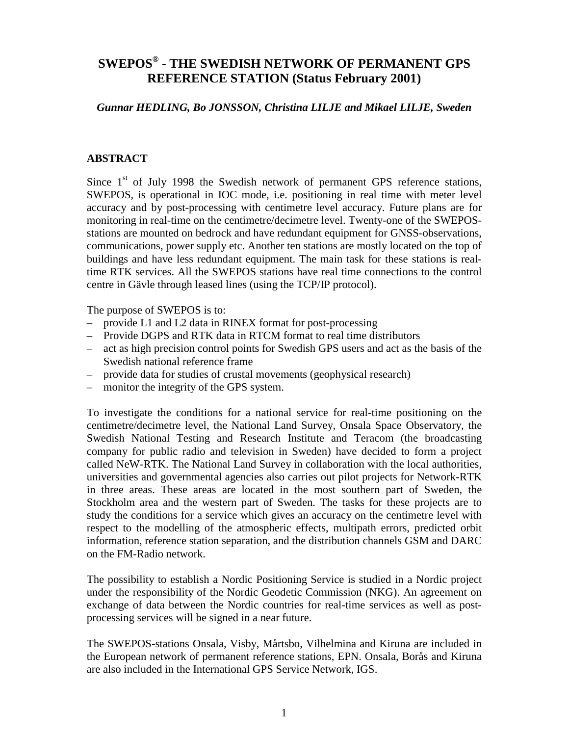# **SWEPOS® - THE SWEDISH NETWORK OF PERMANENT GPS REFERENCE STATION (Status February 2001)**

#### *Gunnar HEDLING, Bo JONSSON, Christina LILJE and Mikael LILJE, Sweden*

#### **ABSTRACT**

Since  $1<sup>st</sup>$  of July 1998 the Swedish network of permanent GPS reference stations, SWEPOS, is operational in IOC mode, i.e. positioning in real time with meter level accuracy and by post-processing with centimetre level accuracy. Future plans are for monitoring in real-time on the centimetre/decimetre level. Twenty-one of the SWEPOSstations are mounted on bedrock and have redundant equipment for GNSS-observations, communications, power supply etc. Another ten stations are mostly located on the top of buildings and have less redundant equipment. The main task for these stations is realtime RTK services. All the SWEPOS stations have real time connections to the control centre in Gävle through leased lines (using the TCP/IP protocol).

The purpose of SWEPOS is to:

- provide L1 and L2 data in RINEX format for post-processing
- Provide DGPS and RTK data in RTCM format to real time distributors
- act as high precision control points for Swedish GPS users and act as the basis of the Swedish national reference frame
- provide data for studies of crustal movements (geophysical research)
- monitor the integrity of the GPS system.

To investigate the conditions for a national service for real-time positioning on the centimetre/decimetre level, the National Land Survey, Onsala Space Observatory, the Swedish National Testing and Research Institute and Teracom (the broadcasting company for public radio and television in Sweden) have decided to form a project called NeW-RTK. The National Land Survey in collaboration with the local authorities, universities and governmental agencies also carries out pilot projects for Network-RTK in three areas. These areas are located in the most southern part of Sweden, the Stockholm area and the western part of Sweden. The tasks for these projects are to study the conditions for a service which gives an accuracy on the centimetre level with respect to the modelling of the atmospheric effects, multipath errors, predicted orbit information, reference station separation, and the distribution channels GSM and DARC on the FM-Radio network.

The possibility to establish a Nordic Positioning Service is studied in a Nordic project under the responsibility of the Nordic Geodetic Commission (NKG). An agreement on exchange of data between the Nordic countries for real-time services as well as postprocessing services will be signed in a near future.

The SWEPOS-stations Onsala, Visby, Mårtsbo, Vilhelmina and Kiruna are included in the European network of permanent reference stations, EPN. Onsala, Borås and Kiruna are also included in the International GPS Service Network, IGS.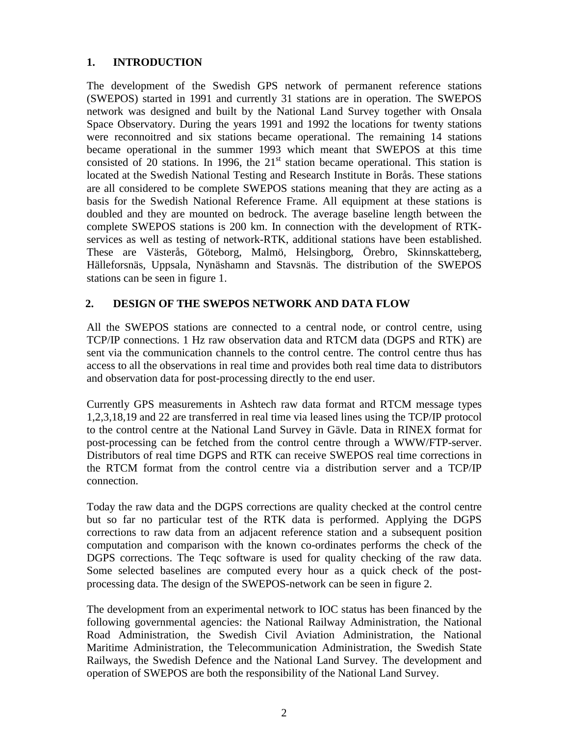### **1. INTRODUCTION**

The development of the Swedish GPS network of permanent reference stations (SWEPOS) started in 1991 and currently 31 stations are in operation. The SWEPOS network was designed and built by the National Land Survey together with Onsala Space Observatory. During the years 1991 and 1992 the locations for twenty stations were reconnoitred and six stations became operational. The remaining 14 stations became operational in the summer 1993 which meant that SWEPOS at this time consisted of 20 stations. In 1996, the  $21<sup>st</sup>$  station became operational. This station is located at the Swedish National Testing and Research Institute in Borås. These stations are all considered to be complete SWEPOS stations meaning that they are acting as a basis for the Swedish National Reference Frame. All equipment at these stations is doubled and they are mounted on bedrock. The average baseline length between the complete SWEPOS stations is 200 km. In connection with the development of RTKservices as well as testing of network-RTK, additional stations have been established. These are Västerås, Göteborg, Malmö, Helsingborg, Örebro, Skinnskatteberg, Hälleforsnäs, Uppsala, Nynäshamn and Stavsnäs. The distribution of the SWEPOS stations can be seen in figure 1.

### **2. DESIGN OF THE SWEPOS NETWORK AND DATA FLOW**

All the SWEPOS stations are connected to a central node, or control centre, using TCP/IP connections. 1 Hz raw observation data and RTCM data (DGPS and RTK) are sent via the communication channels to the control centre. The control centre thus has access to all the observations in real time and provides both real time data to distributors and observation data for post-processing directly to the end user.

Currently GPS measurements in Ashtech raw data format and RTCM message types 1,2,3,18,19 and 22 are transferred in real time via leased lines using the TCP/IP protocol to the control centre at the National Land Survey in Gävle. Data in RINEX format for post-processing can be fetched from the control centre through a WWW/FTP-server. Distributors of real time DGPS and RTK can receive SWEPOS real time corrections in the RTCM format from the control centre via a distribution server and a TCP/IP connection.

Today the raw data and the DGPS corrections are quality checked at the control centre but so far no particular test of the RTK data is performed. Applying the DGPS corrections to raw data from an adjacent reference station and a subsequent position computation and comparison with the known co-ordinates performs the check of the DGPS corrections. The Teqc software is used for quality checking of the raw data. Some selected baselines are computed every hour as a quick check of the postprocessing data. The design of the SWEPOS-network can be seen in figure 2.

The development from an experimental network to IOC status has been financed by the following governmental agencies: the National Railway Administration, the National Road Administration, the Swedish Civil Aviation Administration, the National Maritime Administration, the Telecommunication Administration, the Swedish State Railways, the Swedish Defence and the National Land Survey. The development and operation of SWEPOS are both the responsibility of the National Land Survey.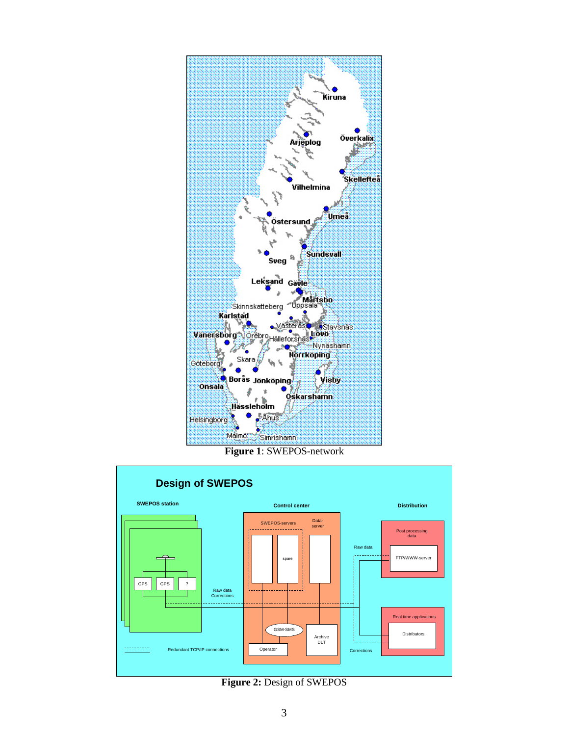

**Figure 1**: SWEPOS-network



**Figure 2:** Design of SWEPOS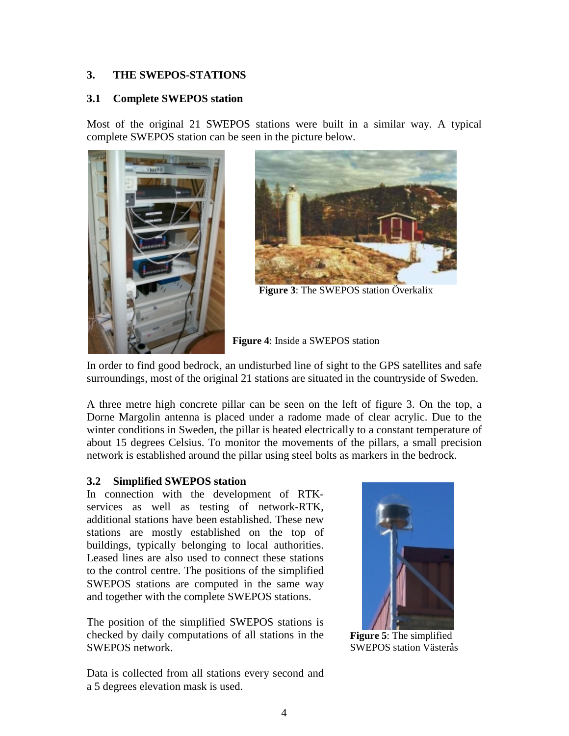#### **3. THE SWEPOS-STATIONS**

#### **3.1 Complete SWEPOS station**

Most of the original 21 SWEPOS stations were built in a similar way. A typical complete SWEPOS station can be seen in the picture below.





**Figure 3**: The SWEPOS station Överkalix

**Figure 4**: Inside a SWEPOS station

In order to find good bedrock, an undisturbed line of sight to the GPS satellites and safe surroundings, most of the original 21 stations are situated in the countryside of Sweden.

A three metre high concrete pillar can be seen on the left of figure 3. On the top, a Dorne Margolin antenna is placed under a radome made of clear acrylic. Due to the winter conditions in Sweden, the pillar is heated electrically to a constant temperature of about 15 degrees Celsius. To monitor the movements of the pillars, a small precision network is established around the pillar using steel bolts as markers in the bedrock.

#### **3.2 Simplified SWEPOS station**

In connection with the development of RTKservices as well as testing of network-RTK, additional stations have been established. These new stations are mostly established on the top of buildings, typically belonging to local authorities. Leased lines are also used to connect these stations to the control centre. The positions of the simplified SWEPOS stations are computed in the same way and together with the complete SWEPOS stations.

The position of the simplified SWEPOS stations is checked by daily computations of all stations in the SWEPOS network.



**Figure 5**: The simplified SWEPOS station Västerås

Data is collected from all stations every second and a 5 degrees elevation mask is used.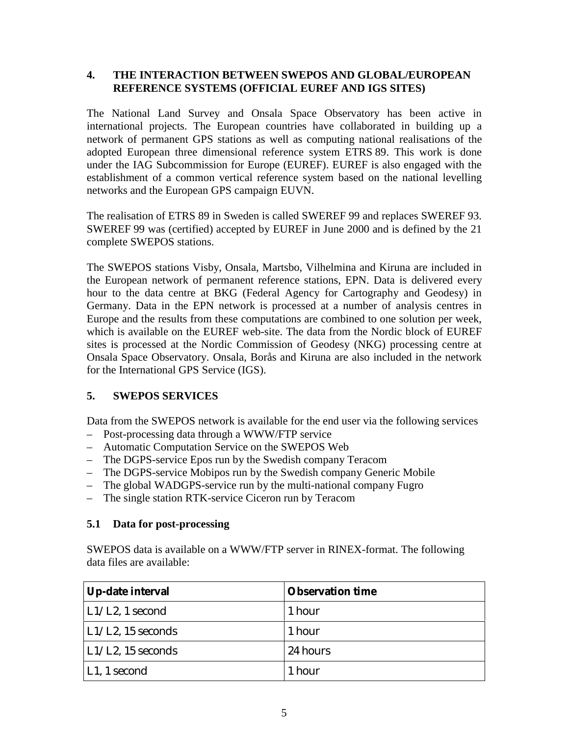#### **4. THE INTERACTION BETWEEN SWEPOS AND GLOBAL/EUROPEAN REFERENCE SYSTEMS (OFFICIAL EUREF AND IGS SITES)**

The National Land Survey and Onsala Space Observatory has been active in international projects. The European countries have collaborated in building up a network of permanent GPS stations as well as computing national realisations of the adopted European three dimensional reference system ETRS 89. This work is done under the IAG Subcommission for Europe (EUREF). EUREF is also engaged with the establishment of a common vertical reference system based on the national levelling networks and the European GPS campaign EUVN.

The realisation of ETRS 89 in Sweden is called SWEREF 99 and replaces SWEREF 93. SWEREF 99 was (certified) accepted by EUREF in June 2000 and is defined by the 21 complete SWEPOS stations.

The SWEPOS stations Visby, Onsala, Martsbo, Vilhelmina and Kiruna are included in the European network of permanent reference stations, EPN. Data is delivered every hour to the data centre at BKG (Federal Agency for Cartography and Geodesy) in Germany. Data in the EPN network is processed at a number of analysis centres in Europe and the results from these computations are combined to one solution per week, which is available on the EUREF web-site. The data from the Nordic block of EUREF sites is processed at the Nordic Commission of Geodesy (NKG) processing centre at Onsala Space Observatory. Onsala, Borås and Kiruna are also included in the network for the International GPS Service (IGS).

#### **5. SWEPOS SERVICES**

Data from the SWEPOS network is available for the end user via the following services

- Post-processing data through a WWW/FTP service
- Automatic Computation Service on the SWEPOS Web
- The DGPS-service Epos run by the Swedish company Teracom
- The DGPS-service Mobipos run by the Swedish company Generic Mobile
- The global WADGPS-service run by the multi-national company Fugro
- The single station RTK-service Ciceron run by Teracom

#### **5.1 Data for post-processing**

SWEPOS data is available on a WWW/FTP server in RINEX-format. The following data files are available:

| Up-date interval          | <b>Observation time</b> |
|---------------------------|-------------------------|
| $\vert$ L1/L2, 1 second   | 1 hour                  |
| $\vert$ L1/L2, 15 seconds | 1 hour                  |
| $\vert$ L1/L2, 15 seconds | 24 hours                |
| L1, 1 second              | 1 hour                  |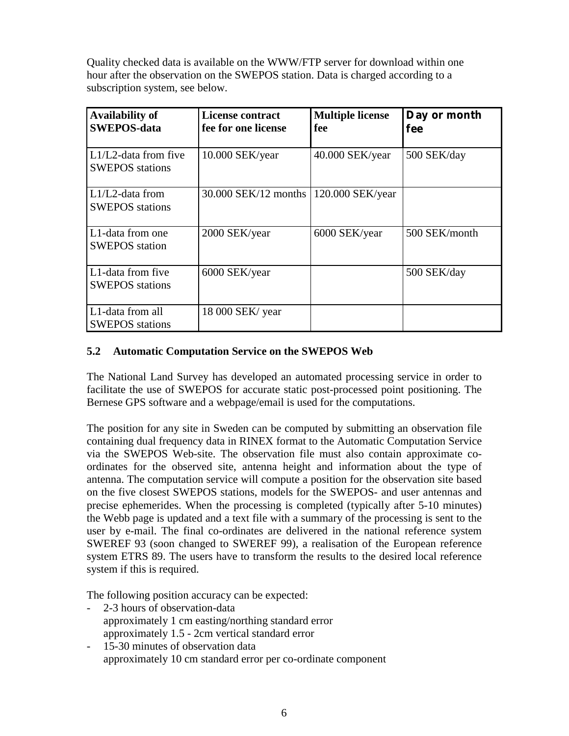Quality checked data is available on the WWW/FTP server for download within one hour after the observation on the SWEPOS station. Data is charged according to a subscription system, see below.

| <b>Availability of</b><br><b>SWEPOS-data</b>   | <b>License contract</b><br>fee for one license | <b>Multiple license</b><br>fee | Day or month<br>fee |
|------------------------------------------------|------------------------------------------------|--------------------------------|---------------------|
| L1/L2-data from five<br><b>SWEPOS</b> stations | $10.000$ SEK/year                              | 40.000 SEK/year                | 500 SEK/day         |
| $L1/L2$ -data from<br><b>SWEPOS</b> stations   | 30.000 SEK/12 months                           | $120.000$ SEK/year             |                     |
| L1-data from one<br><b>SWEPOS</b> station      | 2000 SEK/year                                  | 6000 SEK/year                  | 500 SEK/month       |
| L1-data from five<br><b>SWEPOS</b> stations    | 6000 SEK/year                                  |                                | 500 SEK/day         |
| L1-data from all<br><b>SWEPOS</b> stations     | 18 000 SEK/ year                               |                                |                     |

### **5.2 Automatic Computation Service on the SWEPOS Web**

The National Land Survey has developed an automated processing service in order to facilitate the use of SWEPOS for accurate static post-processed point positioning. The Bernese GPS software and a webpage/email is used for the computations.

The position for any site in Sweden can be computed by submitting an observation file containing dual frequency data in RINEX format to the Automatic Computation Service via the SWEPOS Web-site. The observation file must also contain approximate coordinates for the observed site, antenna height and information about the type of antenna. The computation service will compute a position for the observation site based on the five closest SWEPOS stations, models for the SWEPOS- and user antennas and precise ephemerides. When the processing is completed (typically after 5-10 minutes) the Webb page is updated and a text file with a summary of the processing is sent to the user by e-mail. The final co-ordinates are delivered in the national reference system SWEREF 93 (soon changed to SWEREF 99), a realisation of the European reference system ETRS 89. The users have to transform the results to the desired local reference system if this is required.

The following position accuracy can be expected:

- 2-3 hours of observation-data approximately 1 cm easting/northing standard error approximately 1.5 - 2cm vertical standard error
- 15-30 minutes of observation data approximately 10 cm standard error per co-ordinate component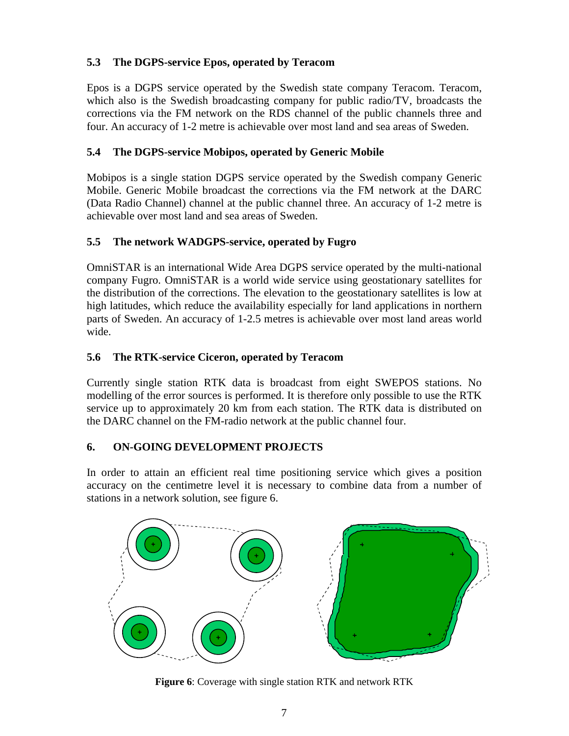# **5.3 The DGPS-service Epos, operated by Teracom**

Epos is a DGPS service operated by the Swedish state company Teracom. Teracom, which also is the Swedish broadcasting company for public radio/TV, broadcasts the corrections via the FM network on the RDS channel of the public channels three and four. An accuracy of 1-2 metre is achievable over most land and sea areas of Sweden.

### **5.4 The DGPS-service Mobipos, operated by Generic Mobile**

Mobipos is a single station DGPS service operated by the Swedish company Generic Mobile. Generic Mobile broadcast the corrections via the FM network at the DARC (Data Radio Channel) channel at the public channel three. An accuracy of 1-2 metre is achievable over most land and sea areas of Sweden.

# **5.5 The network WADGPS-service, operated by Fugro**

OmniSTAR is an international Wide Area DGPS service operated by the multi-national company Fugro. OmniSTAR is a world wide service using geostationary satellites for the distribution of the corrections. The elevation to the geostationary satellites is low at high latitudes, which reduce the availability especially for land applications in northern parts of Sweden. An accuracy of 1-2.5 metres is achievable over most land areas world wide.

# **5.6 The RTK-service Ciceron, operated by Teracom**

Currently single station RTK data is broadcast from eight SWEPOS stations. No modelling of the error sources is performed. It is therefore only possible to use the RTK service up to approximately 20 km from each station. The RTK data is distributed on the DARC channel on the FM-radio network at the public channel four.

### **6. ON-GOING DEVELOPMENT PROJECTS**

In order to attain an efficient real time positioning service which gives a position accuracy on the centimetre level it is necessary to combine data from a number of stations in a network solution, see figure 6.



**Figure 6**: Coverage with single station RTK and network RTK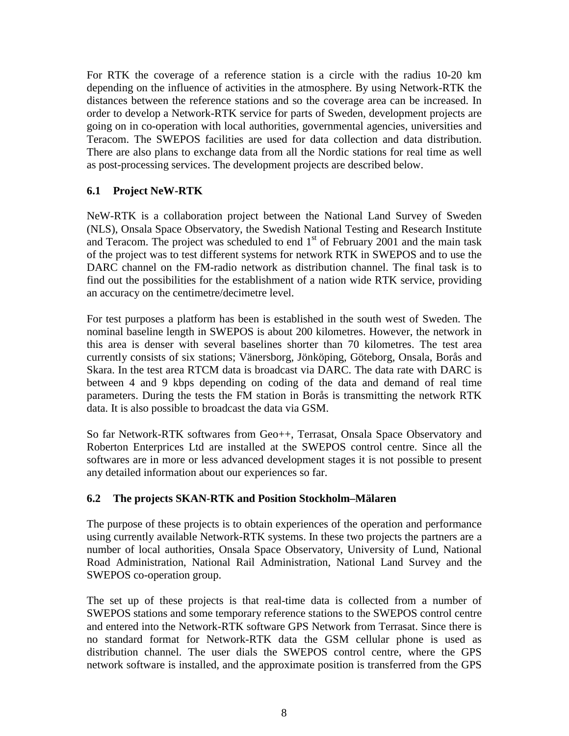For RTK the coverage of a reference station is a circle with the radius 10-20 km depending on the influence of activities in the atmosphere. By using Network-RTK the distances between the reference stations and so the coverage area can be increased. In order to develop a Network-RTK service for parts of Sweden, development projects are going on in co-operation with local authorities, governmental agencies, universities and Teracom. The SWEPOS facilities are used for data collection and data distribution. There are also plans to exchange data from all the Nordic stations for real time as well as post-processing services. The development projects are described below.

#### **6.1 Project NeW-RTK**

NeW-RTK is a collaboration project between the National Land Survey of Sweden (NLS), Onsala Space Observatory, the Swedish National Testing and Research Institute and Teracom. The project was scheduled to end  $1<sup>st</sup>$  of February 2001 and the main task of the project was to test different systems for network RTK in SWEPOS and to use the DARC channel on the FM-radio network as distribution channel. The final task is to find out the possibilities for the establishment of a nation wide RTK service, providing an accuracy on the centimetre/decimetre level.

For test purposes a platform has been is established in the south west of Sweden. The nominal baseline length in SWEPOS is about 200 kilometres. However, the network in this area is denser with several baselines shorter than 70 kilometres. The test area currently consists of six stations; Vänersborg, Jönköping, Göteborg, Onsala, Borås and Skara. In the test area RTCM data is broadcast via DARC. The data rate with DARC is between 4 and 9 kbps depending on coding of the data and demand of real time parameters. During the tests the FM station in Borås is transmitting the network RTK data. It is also possible to broadcast the data via GSM.

So far Network-RTK softwares from Geo++, Terrasat, Onsala Space Observatory and Roberton Enterprices Ltd are installed at the SWEPOS control centre. Since all the softwares are in more or less advanced development stages it is not possible to present any detailed information about our experiences so far.

### **6.2 The projects SKAN-RTK and Position Stockholm–Mälaren**

The purpose of these projects is to obtain experiences of the operation and performance using currently available Network-RTK systems. In these two projects the partners are a number of local authorities, Onsala Space Observatory, University of Lund, National Road Administration, National Rail Administration, National Land Survey and the SWEPOS co-operation group.

The set up of these projects is that real-time data is collected from a number of SWEPOS stations and some temporary reference stations to the SWEPOS control centre and entered into the Network-RTK software GPS Network from Terrasat. Since there is no standard format for Network-RTK data the GSM cellular phone is used as distribution channel. The user dials the SWEPOS control centre, where the GPS network software is installed, and the approximate position is transferred from the GPS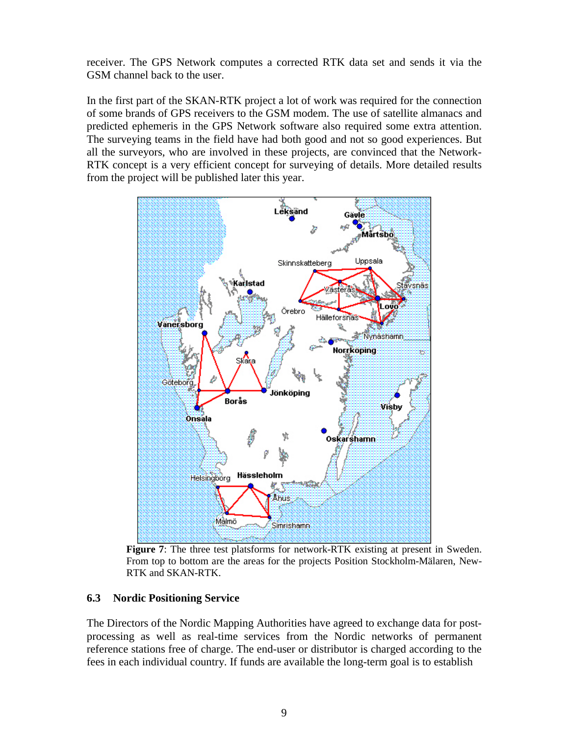receiver. The GPS Network computes a corrected RTK data set and sends it via the GSM channel back to the user.

In the first part of the SKAN-RTK project a lot of work was required for the connection of some brands of GPS receivers to the GSM modem. The use of satellite almanacs and predicted ephemeris in the GPS Network software also required some extra attention. The surveying teams in the field have had both good and not so good experiences. But all the surveyors, who are involved in these projects, are convinced that the Network-RTK concept is a very efficient concept for surveying of details. More detailed results from the project will be published later this year.



**Figure 7**: The three test platsforms for network-RTK existing at present in Sweden. From top to bottom are the areas for the projects Position Stockholm-Mälaren, New-RTK and SKAN-RTK.

#### **6.3 Nordic Positioning Service**

The Directors of the Nordic Mapping Authorities have agreed to exchange data for postprocessing as well as real-time services from the Nordic networks of permanent reference stations free of charge. The end-user or distributor is charged according to the fees in each individual country. If funds are available the long-term goal is to establish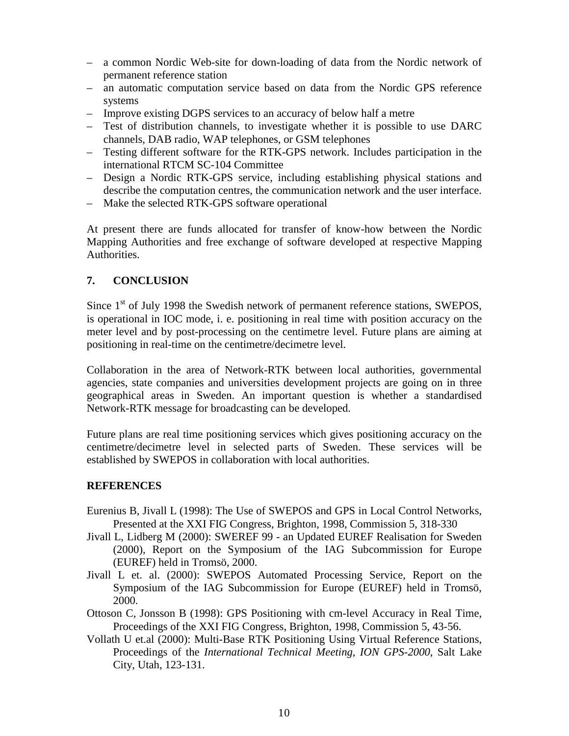- a common Nordic Web-site for down-loading of data from the Nordic network of permanent reference station
- an automatic computation service based on data from the Nordic GPS reference systems
- Improve existing DGPS services to an accuracy of below half a metre
- Test of distribution channels, to investigate whether it is possible to use DARC channels, DAB radio, WAP telephones, or GSM telephones
- Testing different software for the RTK-GPS network. Includes participation in the international RTCM SC-104 Committee
- Design a Nordic RTK-GPS service, including establishing physical stations and describe the computation centres, the communication network and the user interface.
- Make the selected RTK-GPS software operational

At present there are funds allocated for transfer of know-how between the Nordic Mapping Authorities and free exchange of software developed at respective Mapping Authorities.

#### **7. CONCLUSION**

Since  $1<sup>st</sup>$  of July 1998 the Swedish network of permanent reference stations, SWEPOS, is operational in IOC mode, i. e. positioning in real time with position accuracy on the meter level and by post-processing on the centimetre level. Future plans are aiming at positioning in real-time on the centimetre/decimetre level.

Collaboration in the area of Network-RTK between local authorities, governmental agencies, state companies and universities development projects are going on in three geographical areas in Sweden. An important question is whether a standardised Network-RTK message for broadcasting can be developed.

Future plans are real time positioning services which gives positioning accuracy on the centimetre/decimetre level in selected parts of Sweden. These services will be established by SWEPOS in collaboration with local authorities.

#### **REFERENCES**

- Eurenius B, Jivall L (1998): The Use of SWEPOS and GPS in Local Control Networks, Presented at the XXI FIG Congress, Brighton, 1998, Commission 5, 318-330
- Jivall L, Lidberg M (2000): SWEREF 99 an Updated EUREF Realisation for Sweden (2000), Report on the Symposium of the IAG Subcommission for Europe (EUREF) held in Tromsö, 2000.
- Jivall L et. al. (2000): SWEPOS Automated Processing Service, Report on the Symposium of the IAG Subcommission for Europe (EUREF) held in Tromsö, 2000.
- Ottoson C, Jonsson B (1998): GPS Positioning with cm-level Accuracy in Real Time, Proceedings of the XXI FIG Congress, Brighton, 1998, Commission 5, 43-56.
- Vollath U et.al (2000): Multi-Base RTK Positioning Using Virtual Reference Stations, Proceedings of the *International Technical Meeting*, *ION GPS-2000*, Salt Lake City, Utah, 123-131.